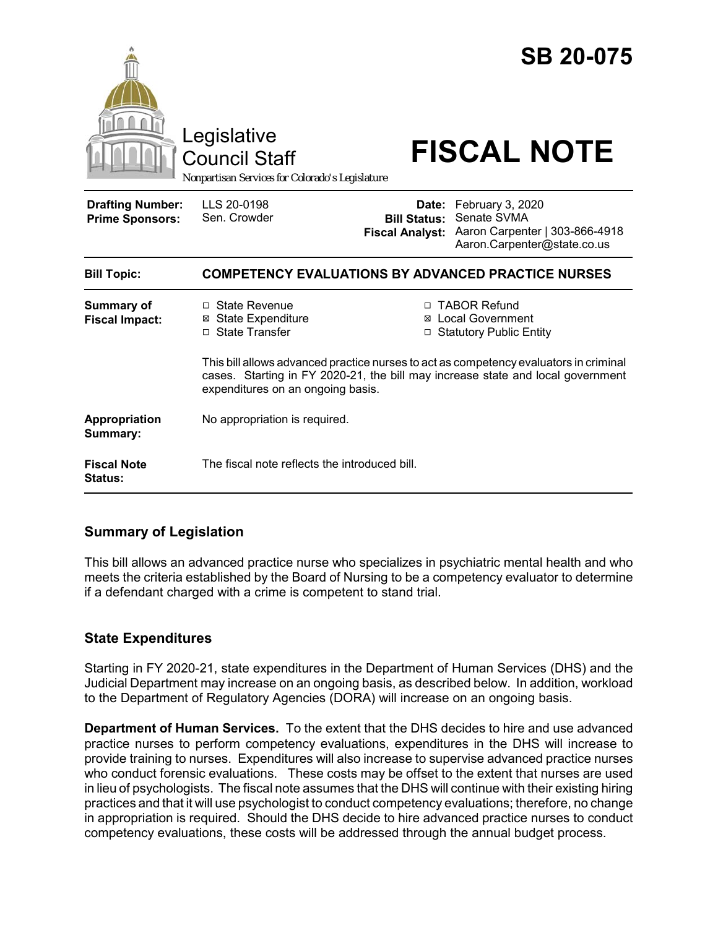|                                                   | Legislative<br><b>Council Staff</b><br>Nonpartisan Services for Colorado's Legislature                               |                                                                                                                                                                   | <b>SB 20-075</b><br><b>FISCAL NOTE</b>                                                                 |  |
|---------------------------------------------------|----------------------------------------------------------------------------------------------------------------------|-------------------------------------------------------------------------------------------------------------------------------------------------------------------|--------------------------------------------------------------------------------------------------------|--|
| <b>Drafting Number:</b><br><b>Prime Sponsors:</b> | LLS 20-0198<br>Sen. Crowder                                                                                          | <b>Bill Status:</b><br><b>Fiscal Analyst:</b>                                                                                                                     | Date: February 3, 2020<br>Senate SVMA<br>Aaron Carpenter   303-866-4918<br>Aaron.Carpenter@state.co.us |  |
| <b>Bill Topic:</b>                                | <b>COMPETENCY EVALUATIONS BY ADVANCED PRACTICE NURSES</b>                                                            |                                                                                                                                                                   |                                                                                                        |  |
| <b>Summary of</b><br><b>Fiscal Impact:</b>        | □ State Revenue<br><b>⊠ State Expenditure</b><br>□ State Transfer                                                    | □ TABOR Refund<br><b>⊠</b> Local Government<br>□ Statutory Public Entity<br>This bill allows advanced practice nurses to act as competency evaluators in criminal |                                                                                                        |  |
|                                                   | cases. Starting in FY 2020-21, the bill may increase state and local government<br>expenditures on an ongoing basis. |                                                                                                                                                                   |                                                                                                        |  |
| Appropriation<br>Summary:                         | No appropriation is required.                                                                                        |                                                                                                                                                                   |                                                                                                        |  |
| <b>Fiscal Note</b><br><b>Status:</b>              | The fiscal note reflects the introduced bill.                                                                        |                                                                                                                                                                   |                                                                                                        |  |

# **Summary of Legislation**

This bill allows an advanced practice nurse who specializes in psychiatric mental health and who meets the criteria established by the Board of Nursing to be a competency evaluator to determine if a defendant charged with a crime is competent to stand trial.

## **State Expenditures**

Starting in FY 2020-21, state expenditures in the Department of Human Services (DHS) and the Judicial Department may increase on an ongoing basis, as described below. In addition, workload to the Department of Regulatory Agencies (DORA) will increase on an ongoing basis.

**Department of Human Services.** To the extent that the DHS decides to hire and use advanced practice nurses to perform competency evaluations, expenditures in the DHS will increase to provide training to nurses. Expenditures will also increase to supervise advanced practice nurses who conduct forensic evaluations. These costs may be offset to the extent that nurses are used in lieu of psychologists. The fiscal note assumes that the DHS will continue with their existing hiring practices and that it will use psychologist to conduct competency evaluations; therefore, no change in appropriation is required. Should the DHS decide to hire advanced practice nurses to conduct competency evaluations, these costs will be addressed through the annual budget process.